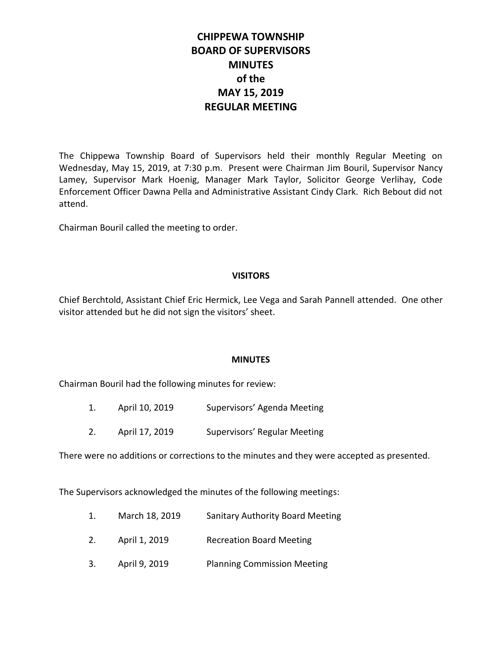# **CHIPPEWA TOWNSHIP BOARD OF SUPERVISORS MINUTES of the MAY 15, 2019 REGULAR MEETING**

The Chippewa Township Board of Supervisors held their monthly Regular Meeting on Wednesday, May 15, 2019, at 7:30 p.m. Present were Chairman Jim Bouril, Supervisor Nancy Lamey, Supervisor Mark Hoenig, Manager Mark Taylor, Solicitor George Verlihay, Code Enforcement Officer Dawna Pella and Administrative Assistant Cindy Clark. Rich Bebout did not attend.

Chairman Bouril called the meeting to order.

## **VISITORS**

Chief Berchtold, Assistant Chief Eric Hermick, Lee Vega and Sarah Pannell attended. One other visitor attended but he did not sign the visitors' sheet.

## **MINUTES**

Chairman Bouril had the following minutes for review:

- 1. April 10, 2019 Supervisors' Agenda Meeting
- 2. April 17, 2019 Supervisors' Regular Meeting

There were no additions or corrections to the minutes and they were accepted as presented.

The Supervisors acknowledged the minutes of the following meetings:

- 1. March 18, 2019 Sanitary Authority Board Meeting
- 2. April 1, 2019 Recreation Board Meeting
- 3. April 9, 2019 Planning Commission Meeting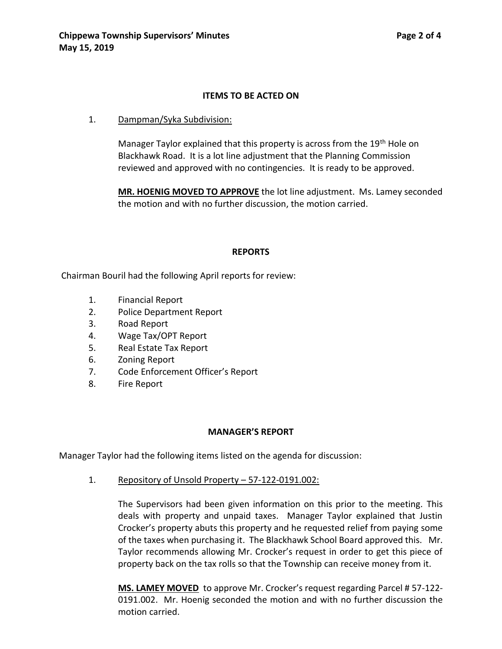#### **ITEMS TO BE ACTED ON**

1. Dampman/Syka Subdivision:

Manager Taylor explained that this property is across from the 19<sup>th</sup> Hole on Blackhawk Road. It is a lot line adjustment that the Planning Commission reviewed and approved with no contingencies. It is ready to be approved.

**MR. HOENIG MOVED TO APPROVE** the lot line adjustment. Ms. Lamey seconded the motion and with no further discussion, the motion carried.

#### **REPORTS**

Chairman Bouril had the following April reports for review:

- 1. Financial Report
- 2. Police Department Report
- 3. Road Report
- 4. Wage Tax/OPT Report
- 5. Real Estate Tax Report
- 6. Zoning Report
- 7. Code Enforcement Officer's Report
- 8. Fire Report

## **MANAGER'S REPORT**

Manager Taylor had the following items listed on the agenda for discussion:

1. Repository of Unsold Property – 57-122-0191.002:

The Supervisors had been given information on this prior to the meeting. This deals with property and unpaid taxes. Manager Taylor explained that Justin Crocker's property abuts this property and he requested relief from paying some of the taxes when purchasing it. The Blackhawk School Board approved this. Mr. Taylor recommends allowing Mr. Crocker's request in order to get this piece of property back on the tax rolls so that the Township can receive money from it.

**MS. LAMEY MOVED** to approve Mr. Crocker's request regarding Parcel # 57-122- 0191.002. Mr. Hoenig seconded the motion and with no further discussion the motion carried.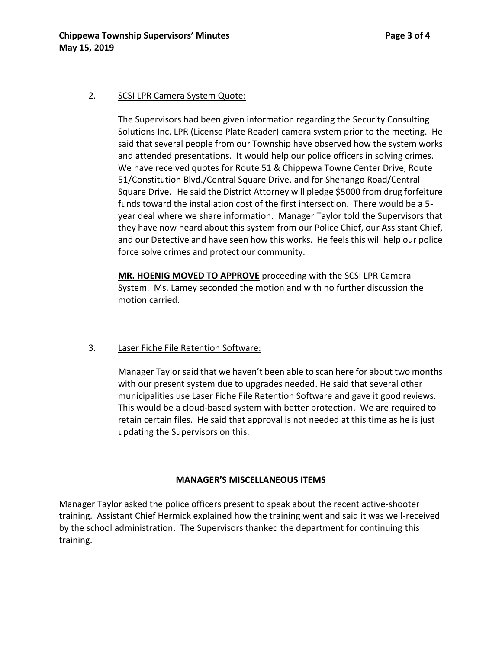#### 2. SCSI LPR Camera System Quote:

The Supervisors had been given information regarding the Security Consulting Solutions Inc. LPR (License Plate Reader) camera system prior to the meeting. He said that several people from our Township have observed how the system works and attended presentations. It would help our police officers in solving crimes. We have received quotes for Route 51 & Chippewa Towne Center Drive, Route 51/Constitution Blvd./Central Square Drive, and for Shenango Road/Central Square Drive. He said the District Attorney will pledge \$5000 from drug forfeiture funds toward the installation cost of the first intersection. There would be a 5 year deal where we share information. Manager Taylor told the Supervisors that they have now heard about this system from our Police Chief, our Assistant Chief, and our Detective and have seen how this works. He feels this will help our police force solve crimes and protect our community.

**MR. HOENIG MOVED TO APPROVE** proceeding with the SCSI LPR Camera System. Ms. Lamey seconded the motion and with no further discussion the motion carried.

## 3. Laser Fiche File Retention Software:

Manager Taylor said that we haven't been able to scan here for about two months with our present system due to upgrades needed. He said that several other municipalities use Laser Fiche File Retention Software and gave it good reviews. This would be a cloud-based system with better protection. We are required to retain certain files. He said that approval is not needed at this time as he is just updating the Supervisors on this.

## **MANAGER'S MISCELLANEOUS ITEMS**

Manager Taylor asked the police officers present to speak about the recent active-shooter training. Assistant Chief Hermick explained how the training went and said it was well-received by the school administration. The Supervisors thanked the department for continuing this training.